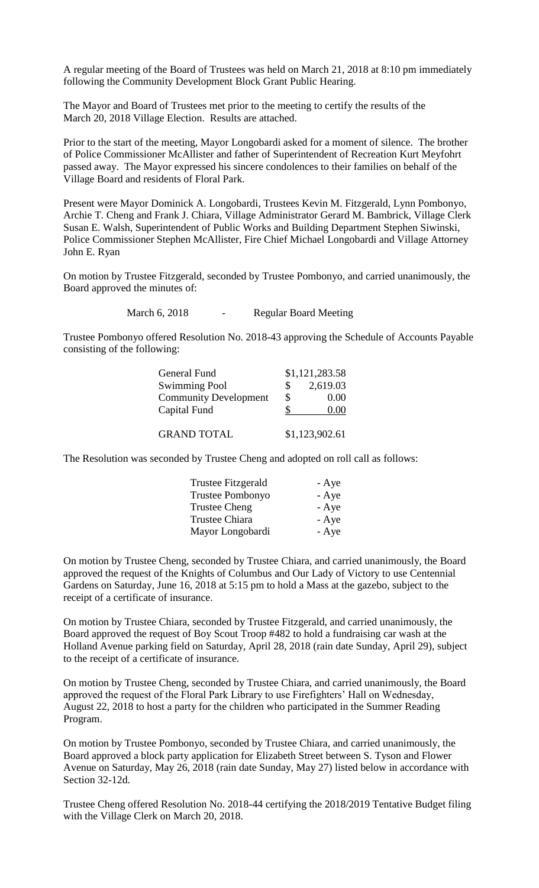A regular meeting of the Board of Trustees was held on March 21, 2018 at 8:10 pm immediately following the Community Development Block Grant Public Hearing.

The Mayor and Board of Trustees met prior to the meeting to certify the results of the March 20, 2018 Village Election. Results are attached.

Prior to the start of the meeting, Mayor Longobardi asked for a moment of silence. The brother of Police Commissioner McAllister and father of Superintendent of Recreation Kurt Meyfohrt passed away. The Mayor expressed his sincere condolences to their families on behalf of the Village Board and residents of Floral Park.

Present were Mayor Dominick A. Longobardi, Trustees Kevin M. Fitzgerald, Lynn Pombonyo, Archie T. Cheng and Frank J. Chiara, Village Administrator Gerard M. Bambrick, Village Clerk Susan E. Walsh, Superintendent of Public Works and Building Department Stephen Siwinski, Police Commissioner Stephen McAllister, Fire Chief Michael Longobardi and Village Attorney John E. Ryan

On motion by Trustee Fitzgerald, seconded by Trustee Pombonyo, and carried unanimously, the Board approved the minutes of:

March 6, 2018 - Regular Board Meeting

Trustee Pombonyo offered Resolution No. 2018-43 approving the Schedule of Accounts Payable consisting of the following:

| General Fund                 | \$1,121,283.58 |
|------------------------------|----------------|
| <b>Swimming Pool</b>         | 2,619.03       |
| <b>Community Development</b> | \$<br>0.00     |
| Capital Fund                 | 0.00           |
|                              |                |
| <b>GRAND TOTAL</b>           | \$1,123,902.61 |

The Resolution was seconded by Trustee Cheng and adopted on roll call as follows:

| - Aye |
|-------|
| - Aye |
| - Aye |
| - Aye |
| - Aye |
|       |

On motion by Trustee Cheng, seconded by Trustee Chiara, and carried unanimously, the Board approved the request of the Knights of Columbus and Our Lady of Victory to use Centennial Gardens on Saturday, June 16, 2018 at 5:15 pm to hold a Mass at the gazebo, subject to the receipt of a certificate of insurance.

On motion by Trustee Chiara, seconded by Trustee Fitzgerald, and carried unanimously, the Board approved the request of Boy Scout Troop #482 to hold a fundraising car wash at the Holland Avenue parking field on Saturday, April 28, 2018 (rain date Sunday, April 29), subject to the receipt of a certificate of insurance.

On motion by Trustee Cheng, seconded by Trustee Chiara, and carried unanimously, the Board approved the request of the Floral Park Library to use Firefighters' Hall on Wednesday, August 22, 2018 to host a party for the children who participated in the Summer Reading Program.

On motion by Trustee Pombonyo, seconded by Trustee Chiara, and carried unanimously, the Board approved a block party application for Elizabeth Street between S. Tyson and Flower Avenue on Saturday, May 26, 2018 (rain date Sunday, May 27) listed below in accordance with Section 32-12d.

Trustee Cheng offered Resolution No. 2018-44 certifying the 2018/2019 Tentative Budget filing with the Village Clerk on March 20, 2018.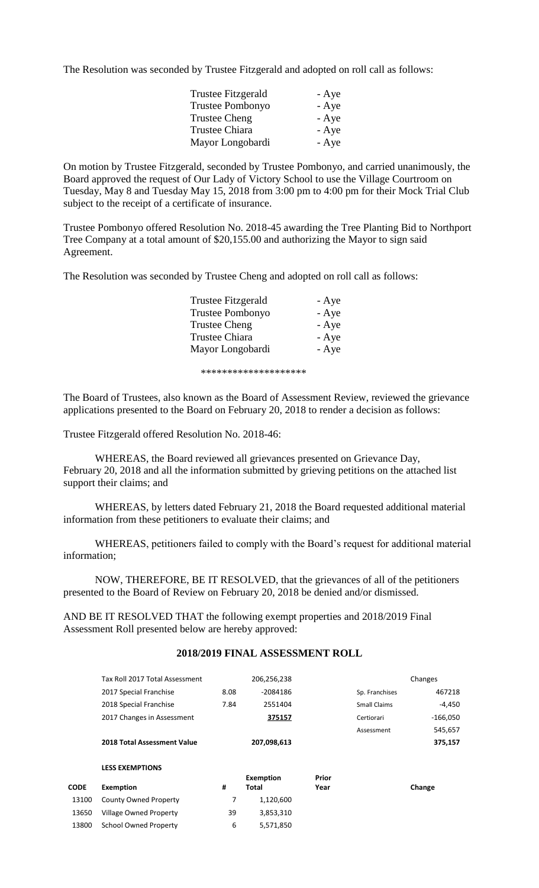The Resolution was seconded by Trustee Fitzgerald and adopted on roll call as follows:

| <b>Trustee Fitzgerald</b> | - Aye |
|---------------------------|-------|
| <b>Trustee Pombonyo</b>   | - Aye |
| <b>Trustee Cheng</b>      | - Aye |
| <b>Trustee Chiara</b>     | - Aye |
| Mayor Longobardi          | - Aye |

On motion by Trustee Fitzgerald, seconded by Trustee Pombonyo, and carried unanimously, the Board approved the request of Our Lady of Victory School to use the Village Courtroom on Tuesday, May 8 and Tuesday May 15, 2018 from 3:00 pm to 4:00 pm for their Mock Trial Club subject to the receipt of a certificate of insurance.

Trustee Pombonyo offered Resolution No. 2018-45 awarding the Tree Planting Bid to Northport Tree Company at a total amount of \$20,155.00 and authorizing the Mayor to sign said Agreement.

The Resolution was seconded by Trustee Cheng and adopted on roll call as follows:

| - Aye |
|-------|
| - Aye |
| - Aye |
| - Aye |
| - Aye |
|       |

\*\*\*\*\*\*\*\*\*\*\*\*\*\*\*\*\*\*\*\*

The Board of Trustees, also known as the Board of Assessment Review, reviewed the grievance applications presented to the Board on February 20, 2018 to render a decision as follows:

Trustee Fitzgerald offered Resolution No. 2018-46:

WHEREAS, the Board reviewed all grievances presented on Grievance Day, February 20, 2018 and all the information submitted by grieving petitions on the attached list support their claims; and

WHEREAS, by letters dated February 21, 2018 the Board requested additional material information from these petitioners to evaluate their claims; and

WHEREAS, petitioners failed to comply with the Board's request for additional material information;

NOW, THEREFORE, BE IT RESOLVED, that the grievances of all of the petitioners presented to the Board of Review on February 20, 2018 be denied and/or dismissed.

AND BE IT RESOLVED THAT the following exempt properties and 2018/2019 Final Assessment Roll presented below are hereby approved:

#### **2018/2019 FINAL ASSESSMENT ROLL**

|             | Tax Roll 2017 Total Assessment     |      | 206,256,238               |               |                     | Changes    |
|-------------|------------------------------------|------|---------------------------|---------------|---------------------|------------|
|             | 2017 Special Franchise             | 8.08 | $-2084186$                |               | Sp. Franchises      | 467218     |
|             | 2018 Special Franchise             | 7.84 | 2551404                   |               | <b>Small Claims</b> | $-4,450$   |
|             | 2017 Changes in Assessment         |      | 375157                    |               | Certiorari          | $-166,050$ |
|             |                                    |      |                           |               | Assessment          | 545,657    |
|             | <b>2018 Total Assessment Value</b> |      | 207,098,613               |               |                     | 375,157    |
|             | <b>LESS EXEMPTIONS</b>             |      |                           |               |                     |            |
| <b>CODE</b> | Exemption                          | #    | <b>Exemption</b><br>Total | Prior<br>Year |                     |            |
|             |                                    |      |                           |               |                     | Change     |
| 13100       | County Owned Property              | 7    | 1,120,600                 |               |                     |            |
| 13650       | <b>Village Owned Property</b>      | 39   | 3,853,310                 |               |                     |            |
| 13800       | <b>School Owned Property</b>       | 6    | 5,571,850                 |               |                     |            |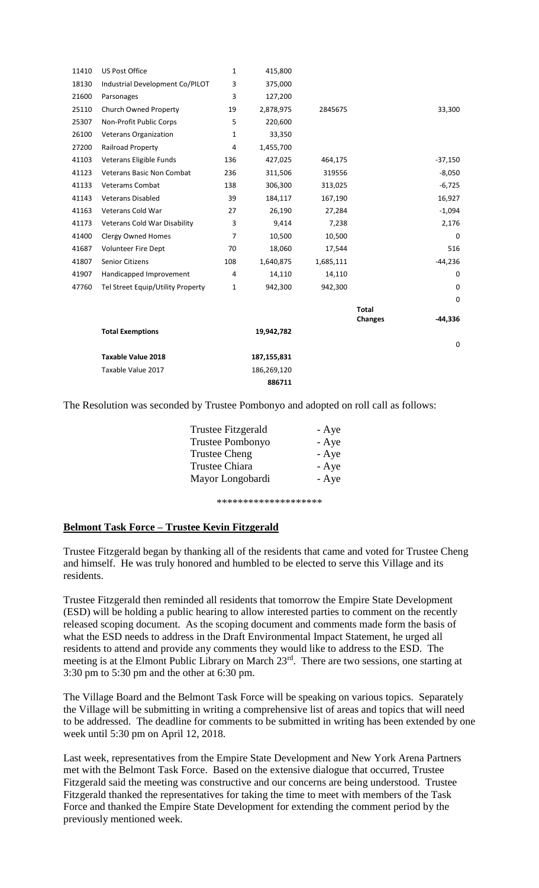| 11410 | <b>US Post Office</b>               | 1              | 415,800     |           |                |             |
|-------|-------------------------------------|----------------|-------------|-----------|----------------|-------------|
| 18130 | Industrial Development Co/PILOT     | 3              | 375,000     |           |                |             |
| 21600 | Parsonages                          | 3              | 127,200     |           |                |             |
| 25110 | <b>Church Owned Property</b>        | 19             | 2,878,975   | 2845675   |                | 33,300      |
| 25307 | Non-Profit Public Corps             | 5              | 220,600     |           |                |             |
| 26100 | <b>Veterans Organization</b>        | $\mathbf{1}$   | 33,350      |           |                |             |
| 27200 | Railroad Property                   | 4              | 1,455,700   |           |                |             |
| 41103 | Veterans Eligible Funds             | 136            | 427,025     | 464,175   |                | $-37,150$   |
| 41123 | <b>Veterans Basic Non Combat</b>    | 236            | 311,506     | 319556    |                | $-8,050$    |
| 41133 | <b>Veterams Combat</b>              | 138            | 306,300     | 313,025   |                | $-6,725$    |
| 41143 | <b>Veterans Disabled</b>            | 39             | 184,117     | 167,190   |                | 16,927      |
| 41163 | Veterans Cold War                   | 27             | 26,190      | 27,284    |                | $-1,094$    |
| 41173 | <b>Veterans Cold War Disability</b> | 3              | 9,414       | 7,238     |                | 2,176       |
| 41400 | <b>Clergy Owned Homes</b>           | $\overline{7}$ | 10,500      | 10,500    |                | 0           |
| 41687 | <b>Volunteer Fire Dept</b>          | 70             | 18,060      | 17,544    |                | 516         |
| 41807 | Senior Citizens                     | 108            | 1,640,875   | 1,685,111 |                | $-44,236$   |
| 41907 | Handicapped Improvement             | 4              | 14,110      | 14,110    |                | $\mathbf 0$ |
| 47760 | Tel Street Equip/Utility Property   | 1              | 942,300     | 942,300   |                | 0           |
|       |                                     |                |             |           |                | $\mathbf 0$ |
|       |                                     |                |             |           | <b>Total</b>   |             |
|       |                                     |                |             |           | <b>Changes</b> | $-44,336$   |
|       | <b>Total Exemptions</b>             |                | 19,942,782  |           |                |             |
|       |                                     |                |             |           |                | 0           |
|       | <b>Taxable Value 2018</b>           |                | 187,155,831 |           |                |             |
|       | Taxable Value 2017                  |                | 186,269,120 |           |                |             |
|       |                                     |                | 886711      |           |                |             |

The Resolution was seconded by Trustee Pombonyo and adopted on roll call as follows:

| Trustee Fitzgerald   | - Aye |
|----------------------|-------|
| Trustee Pombonyo     | - Aye |
| <b>Trustee Cheng</b> | - Aye |
| Trustee Chiara       | - Aye |
| Mayor Longobardi     | - Aye |

\*\*\*\*\*\*\*\*\*\*\*\*\*\*\*\*\*\*\*\*

## **Belmont Task Force – Trustee Kevin Fitzgerald**

Trustee Fitzgerald began by thanking all of the residents that came and voted for Trustee Cheng and himself. He was truly honored and humbled to be elected to serve this Village and its residents.

Trustee Fitzgerald then reminded all residents that tomorrow the Empire State Development (ESD) will be holding a public hearing to allow interested parties to comment on the recently released scoping document. As the scoping document and comments made form the basis of what the ESD needs to address in the Draft Environmental Impact Statement, he urged all residents to attend and provide any comments they would like to address to the ESD. The meeting is at the Elmont Public Library on March 23rd. There are two sessions, one starting at 3:30 pm to 5:30 pm and the other at 6:30 pm.

The Village Board and the Belmont Task Force will be speaking on various topics. Separately the Village will be submitting in writing a comprehensive list of areas and topics that will need to be addressed. The deadline for comments to be submitted in writing has been extended by one week until 5:30 pm on April 12, 2018.

Last week, representatives from the Empire State Development and New York Arena Partners met with the Belmont Task Force. Based on the extensive dialogue that occurred, Trustee Fitzgerald said the meeting was constructive and our concerns are being understood. Trustee Fitzgerald thanked the representatives for taking the time to meet with members of the Task Force and thanked the Empire State Development for extending the comment period by the previously mentioned week.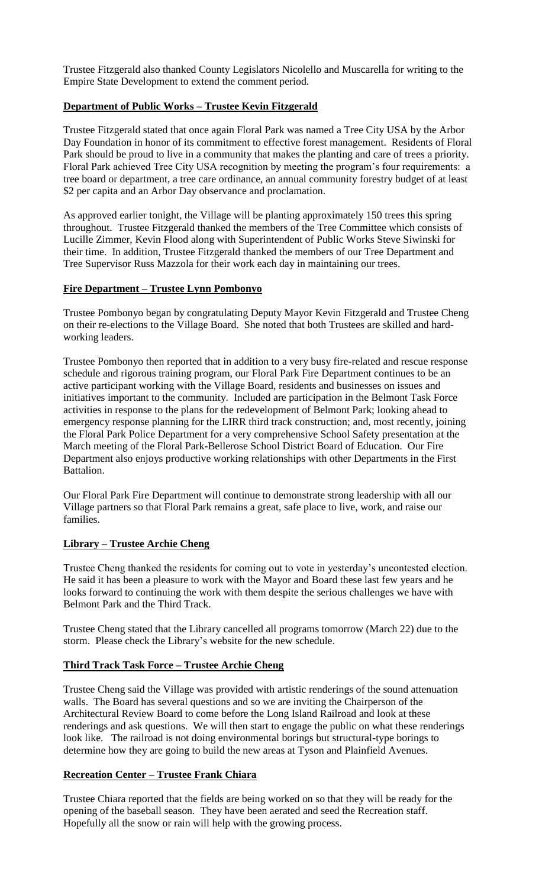Trustee Fitzgerald also thanked County Legislators Nicolello and Muscarella for writing to the Empire State Development to extend the comment period.

# **Department of Public Works – Trustee Kevin Fitzgerald**

Trustee Fitzgerald stated that once again Floral Park was named a Tree City USA by the Arbor Day Foundation in honor of its commitment to effective forest management. Residents of Floral Park should be proud to live in a community that makes the planting and care of trees a priority. Floral Park achieved Tree City USA recognition by meeting the program's four requirements: a tree board or department, a tree care ordinance, an annual community forestry budget of at least \$2 per capita and an Arbor Day observance and proclamation.

As approved earlier tonight, the Village will be planting approximately 150 trees this spring throughout. Trustee Fitzgerald thanked the members of the Tree Committee which consists of Lucille Zimmer, Kevin Flood along with Superintendent of Public Works Steve Siwinski for their time. In addition, Trustee Fitzgerald thanked the members of our Tree Department and Tree Supervisor Russ Mazzola for their work each day in maintaining our trees.

# **Fire Department – Trustee Lynn Pombonyo**

Trustee Pombonyo began by congratulating Deputy Mayor Kevin Fitzgerald and Trustee Cheng on their re-elections to the Village Board. She noted that both Trustees are skilled and hardworking leaders.

Trustee Pombonyo then reported that in addition to a very busy fire-related and rescue response schedule and rigorous training program, our Floral Park Fire Department continues to be an active participant working with the Village Board, residents and businesses on issues and initiatives important to the community. Included are participation in the Belmont Task Force activities in response to the plans for the redevelopment of Belmont Park; looking ahead to emergency response planning for the LIRR third track construction; and, most recently, joining the Floral Park Police Department for a very comprehensive School Safety presentation at the March meeting of the Floral Park-Bellerose School District Board of Education. Our Fire Department also enjoys productive working relationships with other Departments in the First Battalion.

Our Floral Park Fire Department will continue to demonstrate strong leadership with all our Village partners so that Floral Park remains a great, safe place to live, work, and raise our families.

## **Library – Trustee Archie Cheng**

Trustee Cheng thanked the residents for coming out to vote in yesterday's uncontested election. He said it has been a pleasure to work with the Mayor and Board these last few years and he looks forward to continuing the work with them despite the serious challenges we have with Belmont Park and the Third Track.

Trustee Cheng stated that the Library cancelled all programs tomorrow (March 22) due to the storm. Please check the Library's website for the new schedule.

## **Third Track Task Force – Trustee Archie Cheng**

Trustee Cheng said the Village was provided with artistic renderings of the sound attenuation walls. The Board has several questions and so we are inviting the Chairperson of the Architectural Review Board to come before the Long Island Railroad and look at these renderings and ask questions. We will then start to engage the public on what these renderings look like. The railroad is not doing environmental borings but structural-type borings to determine how they are going to build the new areas at Tyson and Plainfield Avenues.

## **Recreation Center – Trustee Frank Chiara**

Trustee Chiara reported that the fields are being worked on so that they will be ready for the opening of the baseball season. They have been aerated and seed the Recreation staff. Hopefully all the snow or rain will help with the growing process.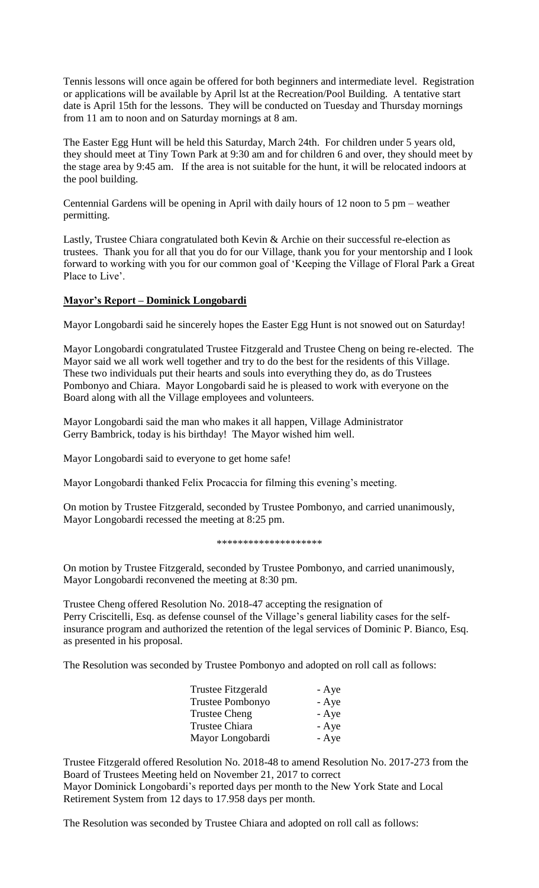Tennis lessons will once again be offered for both beginners and intermediate level. Registration or applications will be available by April lst at the Recreation/Pool Building. A tentative start date is April 15th for the lessons. They will be conducted on Tuesday and Thursday mornings from 11 am to noon and on Saturday mornings at 8 am.

The Easter Egg Hunt will be held this Saturday, March 24th. For children under 5 years old, they should meet at Tiny Town Park at 9:30 am and for children 6 and over, they should meet by the stage area by 9:45 am. If the area is not suitable for the hunt, it will be relocated indoors at the pool building.

Centennial Gardens will be opening in April with daily hours of 12 noon to 5 pm – weather permitting.

Lastly, Trustee Chiara congratulated both Kevin & Archie on their successful re-election as trustees. Thank you for all that you do for our Village, thank you for your mentorship and I look forward to working with you for our common goal of 'Keeping the Village of Floral Park a Great Place to Live'.

## **Mayor's Report – Dominick Longobardi**

Mayor Longobardi said he sincerely hopes the Easter Egg Hunt is not snowed out on Saturday!

Mayor Longobardi congratulated Trustee Fitzgerald and Trustee Cheng on being re-elected. The Mayor said we all work well together and try to do the best for the residents of this Village. These two individuals put their hearts and souls into everything they do, as do Trustees Pombonyo and Chiara. Mayor Longobardi said he is pleased to work with everyone on the Board along with all the Village employees and volunteers.

Mayor Longobardi said the man who makes it all happen, Village Administrator Gerry Bambrick, today is his birthday! The Mayor wished him well.

Mayor Longobardi said to everyone to get home safe!

Mayor Longobardi thanked Felix Procaccia for filming this evening's meeting.

On motion by Trustee Fitzgerald, seconded by Trustee Pombonyo, and carried unanimously, Mayor Longobardi recessed the meeting at 8:25 pm.

#### \*\*\*\*\*\*\*\*\*\*\*\*\*\*\*\*\*\*\*\*

On motion by Trustee Fitzgerald, seconded by Trustee Pombonyo, and carried unanimously, Mayor Longobardi reconvened the meeting at 8:30 pm.

Trustee Cheng offered Resolution No. 2018-47 accepting the resignation of Perry Criscitelli, Esq. as defense counsel of the Village's general liability cases for the selfinsurance program and authorized the retention of the legal services of Dominic P. Bianco, Esq. as presented in his proposal.

The Resolution was seconded by Trustee Pombonyo and adopted on roll call as follows:

| <b>Trustee Fitzgerald</b> | - Aye |
|---------------------------|-------|
| <b>Trustee Pombonyo</b>   | - Aye |
| <b>Trustee Cheng</b>      | - Aye |
| Trustee Chiara            | - Aye |
| Mayor Longobardi          | - Aye |

Trustee Fitzgerald offered Resolution No. 2018-48 to amend Resolution No. 2017-273 from the Board of Trustees Meeting held on November 21, 2017 to correct Mayor Dominick Longobardi's reported days per month to the New York State and Local Retirement System from 12 days to 17.958 days per month.

The Resolution was seconded by Trustee Chiara and adopted on roll call as follows: